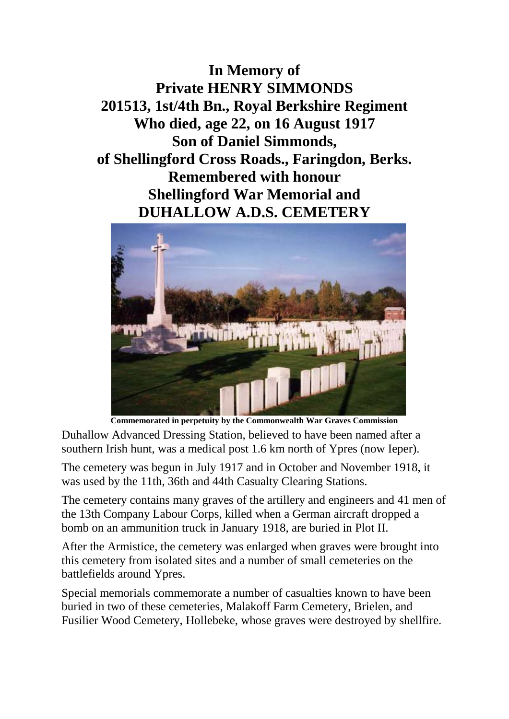**In Memory of Private HENRY SIMMONDS 201513, 1st/4th Bn., Royal Berkshire Regiment Who died, age 22, on 16 August 1917 Son of Daniel Simmonds, of Shellingford Cross Roads., Faringdon, Berks. Remembered with honour Shellingford War Memorial and DUHALLOW A.D.S. CEMETERY**



**Commemorated in perpetuity by the Commonwealth War Graves Commission** 

Duhallow Advanced Dressing Station, believed to have been named after a southern Irish hunt, was a medical post 1.6 km north of Ypres (now Ieper).

The cemetery was begun in July 1917 and in October and November 1918, it was used by the 11th, 36th and 44th Casualty Clearing Stations.

The cemetery contains many graves of the artillery and engineers and 41 men of the 13th Company Labour Corps, killed when a German aircraft dropped a bomb on an ammunition truck in January 1918, are buried in Plot II.

After the Armistice, the cemetery was enlarged when graves were brought into this cemetery from isolated sites and a number of small cemeteries on the battlefields around Ypres.

Special memorials commemorate a number of casualties known to have been buried in two of these cemeteries, Malakoff Farm Cemetery, Brielen, and Fusilier Wood Cemetery, Hollebeke, whose graves were destroyed by shellfire.